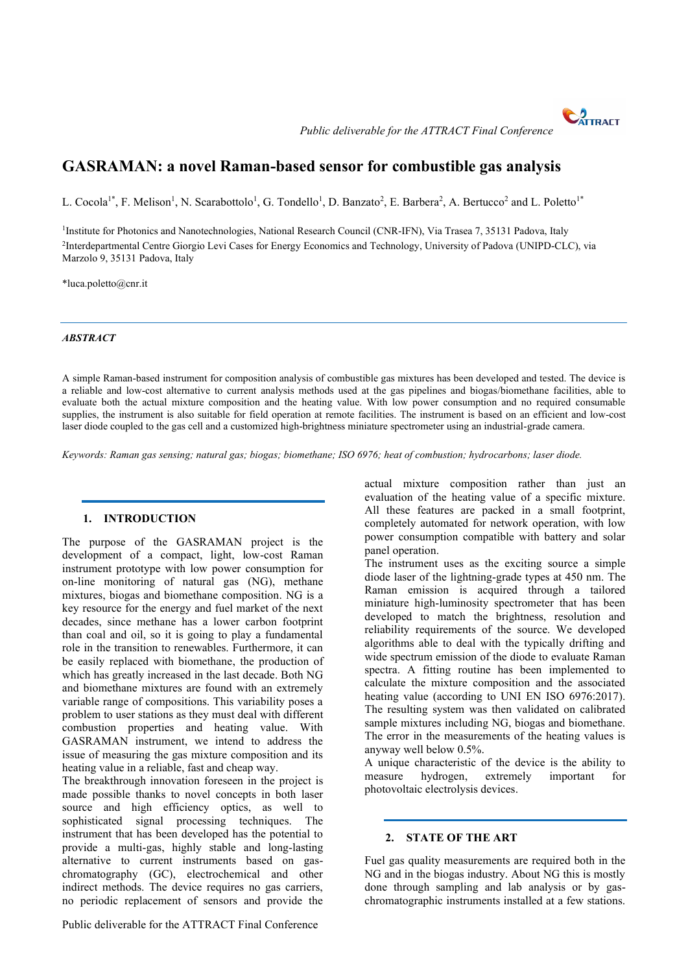CATTRACT *Public deliverable for the ATTRACT Final Conference*



L. Cocola<sup>1\*</sup>, F. Melison<sup>1</sup>, N. Scarabottolo<sup>1</sup>, G. Tondello<sup>1</sup>, D. Banzato<sup>2</sup>, E. Barbera<sup>2</sup>, A. Bertucco<sup>2</sup> and L. Poletto<sup>1\*</sup>

<sup>1</sup>Institute for Photonics and Nanotechnologies, National Research Council (CNR-IFN), Via Trasea 7, 35131 Padova, Italy 2 [Interdepartmental Centre Giorgio Levi Cases](http://levicases.unipd.it/en/) for Energy Economics and Technology, University of Padova (UNIPD-CLC), via Marzolo 9, 35131 Padova, Italy

\*luca.poletto@cnr.it

#### *ABSTRACT*

A simple Raman-based instrument for composition analysis of combustible gas mixtures has been developed and tested. The device is a reliable and low-cost alternative to current analysis methods used at the gas pipelines and biogas/biomethane facilities, able to evaluate both the actual mixture composition and the heating value. With low power consumption and no required consumable supplies, the instrument is also suitable for field operation at remote facilities. The instrument is based on an efficient and low-cost laser diode coupled to the gas cell and a customized high-brightness miniature spectrometer using an industrial-grade camera.

*Keywords: Raman gas sensing; natural gas; biogas; biomethane; ISO 6976; heat of combustion; hydrocarbons; laser diode.*

### **1. INTRODUCTION**

The purpose of the GASRAMAN project is the development of a compact, light, low-cost Raman instrument prototype with low power consumption for on-line monitoring of natural gas (NG), methane mixtures, biogas and biomethane composition. NG is a key resource for the energy and fuel market of the next decades, since methane has a lower carbon footprint than coal and oil, so it is going to play a fundamental role in the transition to renewables. Furthermore, it can be easily replaced with biomethane, the production of which has greatly increased in the last decade. Both NG and biomethane mixtures are found with an extremely variable range of compositions. This variability poses a problem to user stations as they must deal with different combustion properties and heating value. With GASRAMAN instrument, we intend to address the issue of measuring the gas mixture composition and its heating value in a reliable, fast and cheap way.

The breakthrough innovation foreseen in the project is made possible thanks to novel concepts in both laser source and high efficiency optics, as well to sophisticated signal processing techniques. The instrument that has been developed has the potential to provide a multi-gas, highly stable and long-lasting alternative to current instruments based on gaschromatography (GC), electrochemical and other indirect methods. The device requires no gas carriers, no periodic replacement of sensors and provide the

actual mixture composition rather than just an evaluation of the heating value of a specific mixture. All these features are packed in a small footprint, completely automated for network operation, with low power consumption compatible with battery and solar panel operation.

The instrument uses as the exciting source a simple diode laser of the lightning-grade types at 450 nm. The Raman emission is acquired through a tailored miniature high-luminosity spectrometer that has been developed to match the brightness, resolution and reliability requirements of the source. We developed algorithms able to deal with the typically drifting and wide spectrum emission of the diode to evaluate Raman spectra. A fitting routine has been implemented to calculate the mixture composition and the associated heating value (according to UNI EN ISO 6976:2017). The resulting system was then validated on calibrated sample mixtures including NG, biogas and biomethane. The error in the measurements of the heating values is anyway well below 0.5%.

A unique characteristic of the device is the ability to measure hydrogen, extremely important for photovoltaic electrolysis devices.

#### **2. STATE OF THE ART**

Fuel gas quality measurements are required both in the NG and in the biogas industry. About NG this is mostly done through sampling and lab analysis or by gaschromatographic instruments installed at a few stations.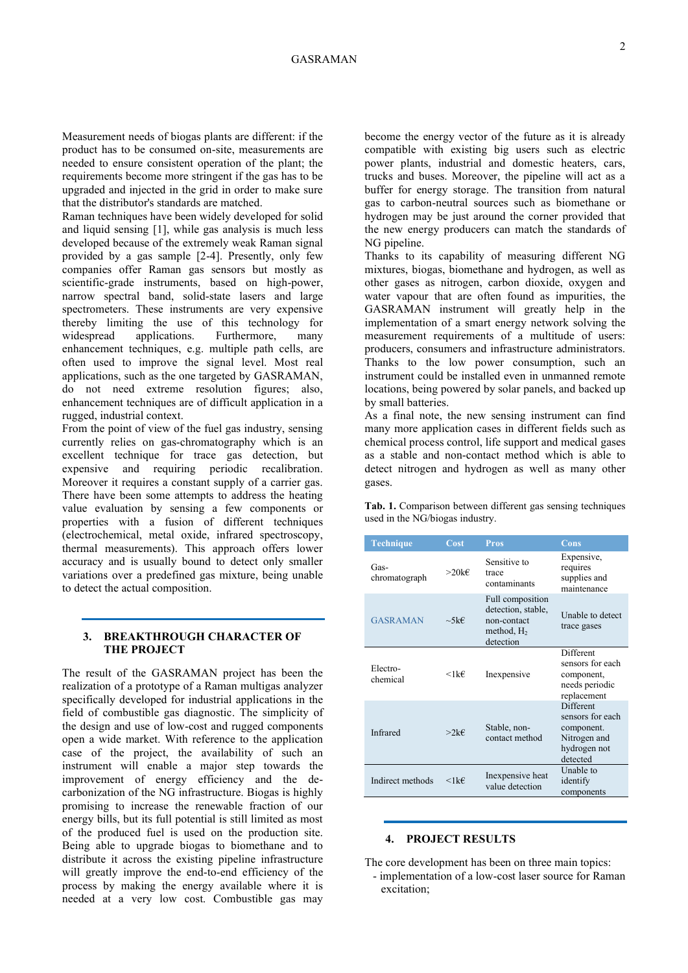## GASRAMAN

Measurement needs of biogas plants are different: if the product has to be consumed on-site, measurements are needed to ensure consistent operation of the plant; the requirements become more stringent if the gas has to be upgraded and injected in the grid in order to make sure that the distributor's standards are matched.

Raman techniques have been widely developed for solid and liquid sensing [1], while gas analysis is much less developed because of the extremely weak Raman signal provided by a gas sample [2-4]. Presently, only few companies offer Raman gas sensors but mostly as scientific-grade instruments, based on high-power, narrow spectral band, solid-state lasers and large spectrometers. These instruments are very expensive thereby limiting the use of this technology for widespread applications. Furthermore, many enhancement techniques, e.g. multiple path cells, are often used to improve the signal level. Most real applications, such as the one targeted by GASRAMAN, do not need extreme resolution figures; also, enhancement techniques are of difficult application in a rugged, industrial context.

From the point of view of the fuel gas industry, sensing currently relies on gas-chromatography which is an excellent technique for trace gas detection, but expensive and requiring periodic recalibration. Moreover it requires a constant supply of a carrier gas. There have been some attempts to address the heating value evaluation by sensing a few components or properties with a fusion of different techniques (electrochemical, metal oxide, infrared spectroscopy, thermal measurements). This approach offers lower accuracy and is usually bound to detect only smaller variations over a predefined gas mixture, being unable to detect the actual composition.

### **3. BREAKTHROUGH CHARACTER OF THE PROJECT**

The result of the GASRAMAN project has been the realization of a prototype of a Raman multigas analyzer specifically developed for industrial applications in the field of combustible gas diagnostic. The simplicity of the design and use of low-cost and rugged components open a wide market. With reference to the application case of the project, the availability of such an instrument will enable a major step towards the improvement of energy efficiency and the decarbonization of the NG infrastructure. Biogas is highly promising to increase the renewable fraction of our energy bills, but its full potential is still limited as most of the produced fuel is used on the production site. Being able to upgrade biogas to biomethane and to distribute it across the existing pipeline infrastructure will greatly improve the end-to-end efficiency of the process by making the energy available where it is needed at a very low cost. Combustible gas may

become the energy vector of the future as it is already compatible with existing big users such as electric power plants, industrial and domestic heaters, cars, trucks and buses. Moreover, the pipeline will act as a buffer for energy storage. The transition from natural gas to carbon-neutral sources such as biomethane or hydrogen may be just around the corner provided that the new energy producers can match the standards of NG pipeline.

Thanks to its capability of measuring different NG mixtures, biogas, biomethane and hydrogen, as well as other gases as nitrogen, carbon dioxide, oxygen and water vapour that are often found as impurities, the GASRAMAN instrument will greatly help in the implementation of a smart energy network solving the measurement requirements of a multitude of users: producers, consumers and infrastructure administrators. Thanks to the low power consumption, such an instrument could be installed even in unmanned remote locations, being powered by solar panels, and backed up by small batteries.

As a final note, the new sensing instrument can find many more application cases in different fields such as chemical process control, life support and medical gases as a stable and non-contact method which is able to detect nitrogen and hydrogen as well as many other gases.

**Tab. 1.** Comparison between different gas sensing techniques used in the NG/biogas industry.

| <b>Technique</b>      | Cost            | <b>Pros</b>                                                                         | Cons                                                                                    |
|-----------------------|-----------------|-------------------------------------------------------------------------------------|-----------------------------------------------------------------------------------------|
| Gas-<br>chromatograph | $>20$ k€        | Sensitive to<br>trace<br>contaminants                                               | Expensive,<br>requires<br>supplies and<br>maintenance                                   |
| <b>GASRAMAN</b>       | $\sim$ 5k $\in$ | Full composition<br>detection, stable,<br>non-contact<br>method, $H_2$<br>detection | Unable to detect<br>trace gases                                                         |
| Electro-<br>chemical  | $<$ 1 k€        | Inexpensive                                                                         | Different<br>sensors for each<br>component,<br>needs periodic<br>replacement            |
| Infrared              | >2k€            | Stable, non-<br>contact method                                                      | Different<br>sensors for each<br>component.<br>Nitrogen and<br>hydrogen not<br>detected |
| Indirect methods      | $<1$ k $\in$    | Inexpensive heat<br>value detection                                                 | Unable to<br>identify<br>components                                                     |

#### **4. PROJECT RESULTS**

The core development has been on three main topics: - implementation of a low-cost laser source for Raman

excitation;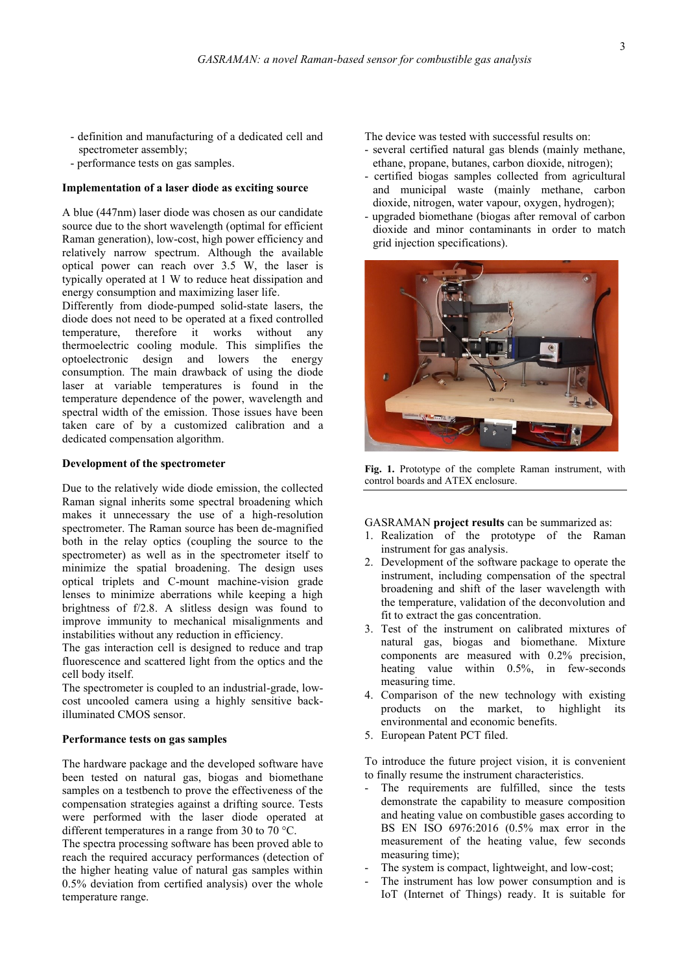- definition and manufacturing of a dedicated cell and spectrometer assembly;
- performance tests on gas samples.

#### **Implementation of a laser diode as exciting source**

A blue (447nm) laser diode was chosen as our candidate source due to the short wavelength (optimal for efficient Raman generation), low-cost, high power efficiency and relatively narrow spectrum. Although the available optical power can reach over 3.5 W, the laser is typically operated at 1 W to reduce heat dissipation and energy consumption and maximizing laser life.

Differently from diode-pumped solid-state lasers, the diode does not need to be operated at a fixed controlled temperature, therefore it works without any thermoelectric cooling module. This simplifies the optoelectronic design and lowers the energy consumption. The main drawback of using the diode laser at variable temperatures is found in the temperature dependence of the power, wavelength and spectral width of the emission. Those issues have been taken care of by a customized calibration and a dedicated compensation algorithm.

#### **Development of the spectrometer**

Due to the relatively wide diode emission, the collected Raman signal inherits some spectral broadening which makes it unnecessary the use of a high-resolution spectrometer. The Raman source has been de-magnified both in the relay optics (coupling the source to the spectrometer) as well as in the spectrometer itself to minimize the spatial broadening. The design uses optical triplets and C-mount machine-vision grade lenses to minimize aberrations while keeping a high brightness of f/2.8. A slitless design was found to improve immunity to mechanical misalignments and instabilities without any reduction in efficiency.

The gas interaction cell is designed to reduce and trap fluorescence and scattered light from the optics and the cell body itself.

The spectrometer is coupled to an industrial-grade, lowcost uncooled camera using a highly sensitive backilluminated CMOS sensor.

### **Performance tests on gas samples**

The hardware package and the developed software have been tested on natural gas, biogas and biomethane samples on a testbench to prove the effectiveness of the compensation strategies against a drifting source. Tests were performed with the laser diode operated at different temperatures in a range from 30 to 70 °C.

The spectra processing software has been proved able to reach the required accuracy performances (detection of the higher heating value of natural gas samples within 0.5% deviation from certified analysis) over the whole temperature range.

The device was tested with successful results on:

- several certified natural gas blends (mainly methane, ethane, propane, butanes, carbon dioxide, nitrogen);
- certified biogas samples collected from agricultural and municipal waste (mainly methane, carbon dioxide, nitrogen, water vapour, oxygen, hydrogen);
- upgraded biomethane (biogas after removal of carbon dioxide and minor contaminants in order to match grid injection specifications).



**Fig. 1.** Prototype of the complete Raman instrument, with control boards and ATEX enclosure.

GASRAMAN **project results** can be summarized as:

- 1. Realization of the prototype of the Raman instrument for gas analysis.
- 2. Development of the software package to operate the instrument, including compensation of the spectral broadening and shift of the laser wavelength with the temperature, validation of the deconvolution and fit to extract the gas concentration.
- 3. Test of the instrument on calibrated mixtures of natural gas, biogas and biomethane. Mixture components are measured with 0.2% precision, heating value within 0.5%, in few-seconds measuring time.
- 4. Comparison of the new technology with existing products on the market, to highlight its environmental and economic benefits.
- 5. European Patent PCT filed.

To introduce the future project vision, it is convenient to finally resume the instrument characteristics.

- The requirements are fulfilled, since the tests demonstrate the capability to measure composition and heating value on combustible gases according to BS EN ISO 6976:2016 (0.5% max error in the measurement of the heating value, few seconds measuring time);
- The system is compact, lightweight, and low-cost;
- The instrument has low power consumption and is IoT (Internet of Things) ready. It is suitable for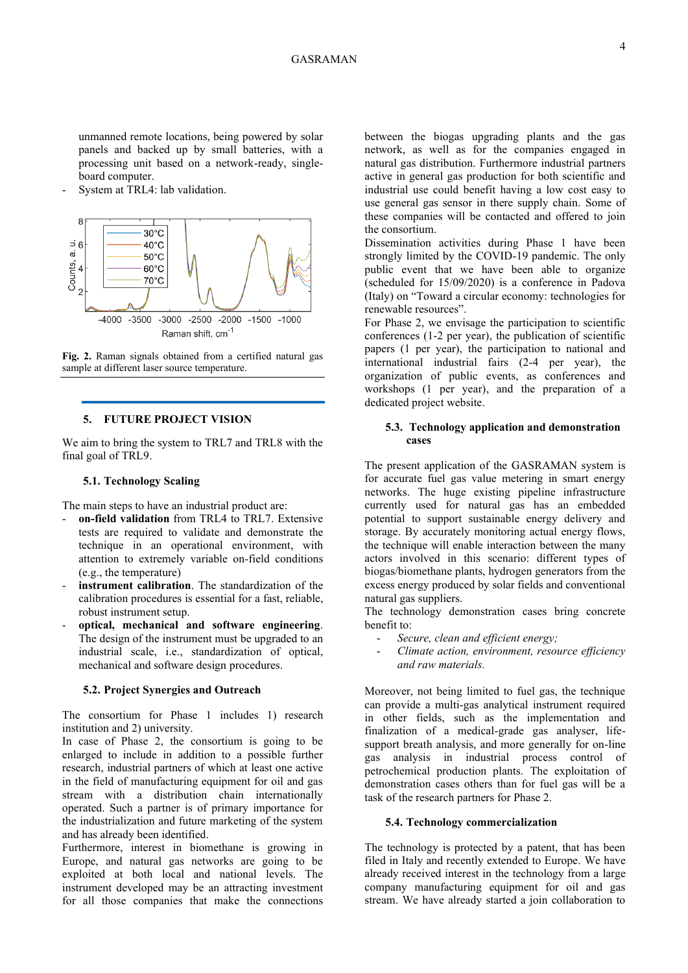unmanned remote locations, being powered by solar panels and backed up by small batteries, with a processing unit based on a network-ready, singleboard computer.

System at TRL4: lab validation.



**Fig. 2.** Raman signals obtained from a certified natural gas sample at different laser source temperature.

## **5. FUTURE PROJECT VISION**

We aim to bring the system to TRL7 and TRL8 with the final goal of TRL9.

# **5.1. Technology Scaling**

The main steps to have an industrial product are:

- **on-field validation** from TRL4 to TRL7. Extensive tests are required to validate and demonstrate the technique in an operational environment, with attention to extremely variable on-field conditions (e.g., the temperature)
- instrument calibration. The standardization of the calibration procedures is essential for a fast, reliable, robust instrument setup.
- **optical, mechanical and software engineering**. The design of the instrument must be upgraded to an industrial scale, i.e., standardization of optical, mechanical and software design procedures.

#### **5.2. Project Synergies and Outreach**

The consortium for Phase 1 includes 1) research institution and 2) university.

In case of Phase 2, the consortium is going to be enlarged to include in addition to a possible further research, industrial partners of which at least one active in the field of manufacturing equipment for oil and gas stream with a distribution chain internationally operated. Such a partner is of primary importance for the industrialization and future marketing of the system and has already been identified.

Furthermore, interest in biomethane is growing in Europe, and natural gas networks are going to be exploited at both local and national levels. The instrument developed may be an attracting investment for all those companies that make the connections

between the biogas upgrading plants and the gas network, as well as for the companies engaged in natural gas distribution. Furthermore industrial partners active in general gas production for both scientific and industrial use could benefit having a low cost easy to use general gas sensor in there supply chain. Some of these companies will be contacted and offered to join the consortium.

Dissemination activities during Phase 1 have been strongly limited by the COVID-19 pandemic. The only public event that we have been able to organize (scheduled for 15/09/2020) is a conference in Padova (Italy) on "Toward a circular economy: technologies for renewable resources".

For Phase 2, we envisage the participation to scientific conferences (1-2 per year), the publication of scientific papers (1 per year), the participation to national and international industrial fairs (2-4 per year), the organization of public events, as conferences and workshops (1 per year), and the preparation of a dedicated project website.

### **5.3. Technology application and demonstration cases**

The present application of the GASRAMAN system is for accurate fuel gas value metering in smart energy networks. The huge existing pipeline infrastructure currently used for natural gas has an embedded potential to support sustainable energy delivery and storage. By accurately monitoring actual energy flows, the technique will enable interaction between the many actors involved in this scenario: different types of biogas/biomethane plants, hydrogen generators from the excess energy produced by solar fields and conventional natural gas suppliers.

The technology demonstration cases bring concrete benefit to:

- *Secure, clean and efficient energy;*
- *Climate action, environment, resource efficiency and raw materials.*

Moreover, not being limited to fuel gas, the technique can provide a multi-gas analytical instrument required in other fields, such as the implementation and finalization of a medical-grade gas analyser, lifesupport breath analysis, and more generally for on-line gas analysis in industrial process control of petrochemical production plants. The exploitation of demonstration cases others than for fuel gas will be a task of the research partners for Phase 2.

#### **5.4. Technology commercialization**

The technology is protected by a patent, that has been filed in Italy and recently extended to Europe. We have already received interest in the technology from a large company manufacturing equipment for oil and gas stream. We have already started a join collaboration to